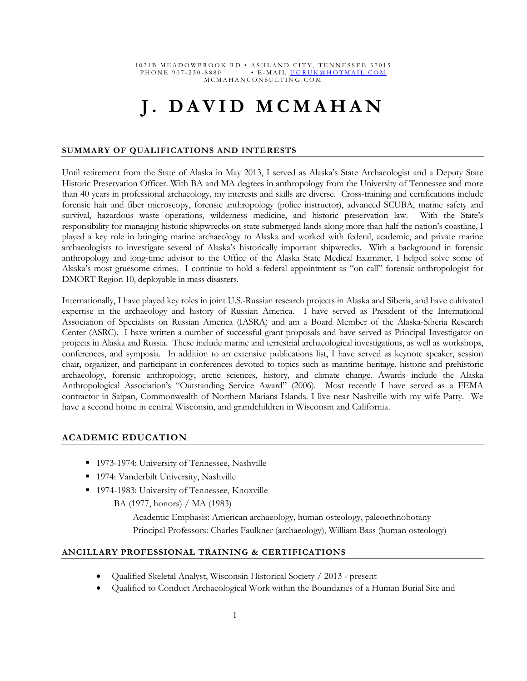# **J. DAVID MCMAHAN**

### **SUMMARY OF QUALIFICATIONS AND INTERESTS**

Until retirement from the State of Alaska in May 2013, I served as Alaska's State Archaeologist and a Deputy State Historic Preservation Officer. With BA and MA degrees in anthropology from the University of Tennessee and more than 40 years in professional archaeology, my interests and skills are diverse. Cross-training and certifications include forensic hair and fiber microscopy, forensic anthropology (police instructor), advanced SCUBA, marine safety and survival, hazardous waste operations, wilderness medicine, and historic preservation law. With the State's responsibility for managing historic shipwrecks on state submerged lands along more than half the nation's coastline, I played a key role in bringing marine archaeology to Alaska and worked with federal, academic, and private marine archaeologists to investigate several of Alaska's historically important shipwrecks. With a background in forensic anthropology and long-time advisor to the Office of the Alaska State Medical Examiner, I helped solve some of Alaska's most gruesome crimes. I continue to hold a federal appointment as "on call" forensic anthropologist for DMORT Region 10, deployable in mass disasters.

Internationally, I have played key roles in joint U.S.-Russian research projects in Alaska and Siberia, and have cultivated expertise in the archaeology and history of Russian America. I have served as President of the International Association of Specialists on Russian America (IASRA) and am a Board Member of the Alaska-Siberia Research Center (ASRC). I have written a number of successful grant proposals and have served as Principal Investigator on projects in Alaska and Russia. These include marine and terrestrial archaeological investigations, as well as workshops, conferences, and symposia. In addition to an extensive publications list, I have served as keynote speaker, session chair, organizer, and participant in conferences devoted to topics such as maritime heritage, historic and prehistoric archaeology, forensic anthropology, arctic sciences, history, and climate change. Awards include the Alaska Anthropological Association's "Outstanding Service Award" (2006). Most recently I have served as a FEMA contractor in Saipan, Commonwealth of Northern Mariana Islands. I live near Nashville with my wife Patty. We have a second home in central Wisconsin, and grandchildren in Wisconsin and California.

## **ACADEMIC EDUCATION**

- 1973-1974: University of Tennessee, Nashville
- <sup>1974:</sup> Vanderbilt University, Nashville
- 1974-1983: University of Tennessee, Knoxville

BA (1977, honors) / MA (1983)

Academic Emphasis: American archaeology, human osteology, paleoethnobotany Principal Professors: Charles Faulkner (archaeology), William Bass (human osteology)

## **ANCILLARY PROFESSIONAL TRAINING & CERTIFICATIONS**

- Qualified Skeletal Analyst, Wisconsin Historical Society / 2013 present
- Qualified to Conduct Archaeological Work within the Boundaries of a Human Burial Site and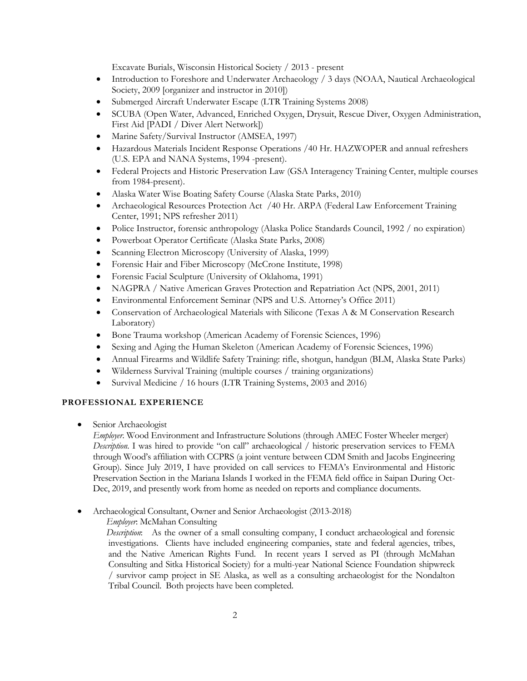Excavate Burials, Wisconsin Historical Society / 2013 - present

- Introduction to Foreshore and Underwater Archaeology / 3 days (NOAA, Nautical Archaeological Society, 2009 [organizer and instructor in 2010])
- Submerged Aircraft Underwater Escape (LTR Training Systems 2008)
- SCUBA (Open Water, Advanced, Enriched Oxygen, Drysuit, Rescue Diver, Oxygen Administration, First Aid [PADI / Diver Alert Network])
- Marine Safety/Survival Instructor (AMSEA, 1997)
- Hazardous Materials Incident Response Operations /40 Hr. HAZWOPER and annual refreshers (U.S. EPA and NANA Systems, 1994 -present).
- Federal Projects and Historic Preservation Law (GSA Interagency Training Center, multiple courses from 1984-present).
- Alaska Water Wise Boating Safety Course (Alaska State Parks, 2010)
- Archaeological Resources Protection Act /40 Hr. ARPA (Federal Law Enforcement Training Center, 1991; NPS refresher 2011)
- Police Instructor, forensic anthropology (Alaska Police Standards Council, 1992 / no expiration)
- Powerboat Operator Certificate (Alaska State Parks, 2008)
- Scanning Electron Microscopy (University of Alaska, 1999)
- Forensic Hair and Fiber Microscopy (McCrone Institute, 1998)
- Forensic Facial Sculpture (University of Oklahoma, 1991)
- NAGPRA / Native American Graves Protection and Repatriation Act (NPS, 2001, 2011)
- Environmental Enforcement Seminar (NPS and U.S. Attorney's Office 2011)
- Conservation of Archaeological Materials with Silicone (Texas A & M Conservation Research Laboratory)
- Bone Trauma workshop (American Academy of Forensic Sciences, 1996)
- Sexing and Aging the Human Skeleton (American Academy of Forensic Sciences, 1996)
- Annual Firearms and Wildlife Safety Training: rifle, shotgun, handgun (BLM, Alaska State Parks)
- Wilderness Survival Training (multiple courses / training organizations)
- Survival Medicine / 16 hours (LTR Training Systems, 2003 and 2016)

## **PROFESSIONAL EXPERIENCE**

Senior Archaeologist

*Employer*. Wood Environment and Infrastructure Solutions (through AMEC Foster Wheeler merger) *Description*. I was hired to provide "on call" archaeological / historic preservation services to FEMA through Wood's affiliation with CCPRS (a joint venture between CDM Smith and Jacobs Engineering Group). Since July 2019, I have provided on call services to FEMA's Environmental and Historic Preservation Section in the Mariana Islands I worked in the FEMA field office in Saipan During Oct-Dec, 2019, and presently work from home as needed on reports and compliance documents.

Archaeological Consultant, Owner and Senior Archaeologist (2013-2018)

*Employer*: McMahan Consulting

 *Description*: As the owner of a small consulting company, I conduct archaeological and forensic investigations. Clients have included engineering companies, state and federal agencies, tribes, and the Native American Rights Fund. In recent years I served as PI (through McMahan Consulting and Sitka Historical Society) for a multi-year National Science Foundation shipwreck / survivor camp project in SE Alaska, as well as a consulting archaeologist for the Nondalton Tribal Council. Both projects have been completed.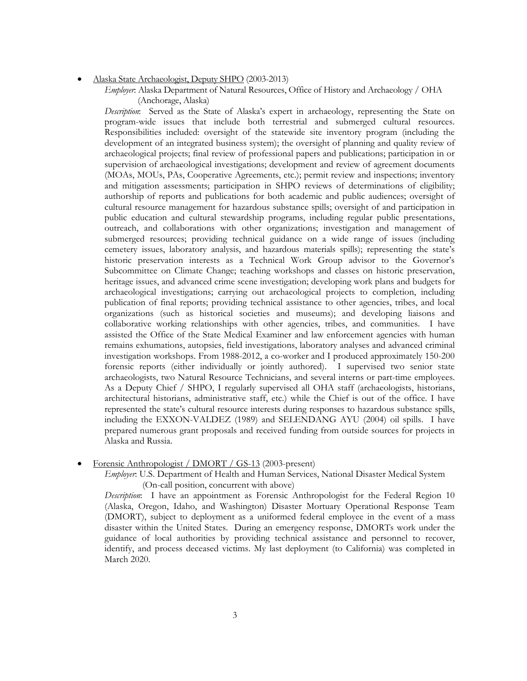#### Alaska State Archaeologist, Deputy SHPO (2003-2013)

*Employer*: Alaska Department of Natural Resources, Office of History and Archaeology / OHA (Anchorage, Alaska)

*Description*: Served as the State of Alaska's expert in archaeology, representing the State on program-wide issues that include both terrestrial and submerged cultural resources. Responsibilities included: oversight of the statewide site inventory program (including the development of an integrated business system); the oversight of planning and quality review of archaeological projects; final review of professional papers and publications; participation in or supervision of archaeological investigations; development and review of agreement documents (MOAs, MOUs, PAs, Cooperative Agreements, etc.); permit review and inspections; inventory and mitigation assessments; participation in SHPO reviews of determinations of eligibility; authorship of reports and publications for both academic and public audiences; oversight of cultural resource management for hazardous substance spills; oversight of and participation in public education and cultural stewardship programs, including regular public presentations, outreach, and collaborations with other organizations; investigation and management of submerged resources; providing technical guidance on a wide range of issues (including cemetery issues, laboratory analysis, and hazardous materials spills); representing the state's historic preservation interests as a Technical Work Group advisor to the Governor's Subcommittee on Climate Change; teaching workshops and classes on historic preservation, heritage issues, and advanced crime scene investigation; developing work plans and budgets for archaeological investigations; carrying out archaeological projects to completion, including publication of final reports; providing technical assistance to other agencies, tribes, and local organizations (such as historical societies and museums); and developing liaisons and collaborative working relationships with other agencies, tribes, and communities. I have assisted the Office of the State Medical Examiner and law enforcement agencies with human remains exhumations, autopsies, field investigations, laboratory analyses and advanced criminal investigation workshops. From 1988-2012, a co-worker and I produced approximately 150-200 forensic reports (either individually or jointly authored). I supervised two senior state archaeologists, two Natural Resource Technicians, and several interns or part-time employees. As a Deputy Chief / SHPO, I regularly supervised all OHA staff (archaeologists, historians, architectural historians, administrative staff, etc.) while the Chief is out of the office. I have represented the state's cultural resource interests during responses to hazardous substance spills, including the EXXON-VALDEZ (1989) and SELENDANG AYU (2004) oil spills. I have prepared numerous grant proposals and received funding from outside sources for projects in Alaska and Russia.

#### Forensic Anthropologist / DMORT / GS-13 (2003-present)

*Employer*: U.S. Department of Health and Human Services, National Disaster Medical System (On-call position, concurrent with above)

*Description*: I have an appointment as Forensic Anthropologist for the Federal Region 10 (Alaska, Oregon, Idaho, and Washington) Disaster Mortuary Operational Response Team (DMORT), subject to deployment as a uniformed federal employee in the event of a mass disaster within the United States. During an emergency response, DMORTs work under the guidance of local authorities by providing technical assistance and personnel to recover, identify, and process deceased victims. My last deployment (to California) was completed in March 2020.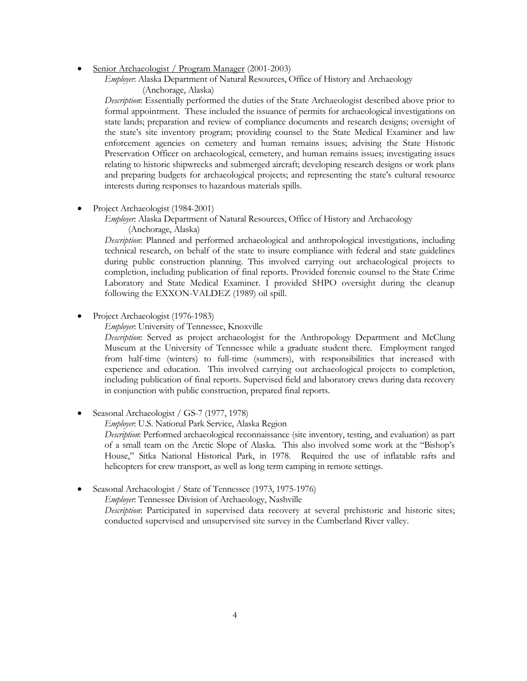Senior Archaeologist / Program Manager (2001-2003)

*Employer*: Alaska Department of Natural Resources, Office of History and Archaeology (Anchorage, Alaska)

*Description*: Essentially performed the duties of the State Archaeologist described above prior to formal appointment. These included the issuance of permits for archaeological investigations on state lands; preparation and review of compliance documents and research designs; oversight of the state's site inventory program; providing counsel to the State Medical Examiner and law enforcement agencies on cemetery and human remains issues; advising the State Historic Preservation Officer on archaeological, cemetery, and human remains issues; investigating issues relating to historic shipwrecks and submerged aircraft; developing research designs or work plans and preparing budgets for archaeological projects; and representing the state's cultural resource interests during responses to hazardous materials spills.

Project Archaeologist (1984-2001)

*Employer*: Alaska Department of Natural Resources, Office of History and Archaeology (Anchorage, Alaska)

*Description*: Planned and performed archaeological and anthropological investigations, including technical research, on behalf of the state to insure compliance with federal and state guidelines during public construction planning. This involved carrying out archaeological projects to completion, including publication of final reports. Provided forensic counsel to the State Crime Laboratory and State Medical Examiner. I provided SHPO oversight during the cleanup following the EXXON-VALDEZ (1989) oil spill.

Project Archaeologist (1976-1983)

*Employer*: University of Tennessee, Knoxville

*Description*: Served as project archaeologist for the Anthropology Department and McClung Museum at the University of Tennessee while a graduate student there. Employment ranged from half-time (winters) to full-time (summers), with responsibilities that increased with experience and education. This involved carrying out archaeological projects to completion, including publication of final reports. Supervised field and laboratory crews during data recovery in conjunction with public construction, prepared final reports.

Seasonal Archaeologist / GS-7 (1977, 1978)

*Employer*: U.S. National Park Service, Alaska Region

*Description*: Performed archaeological reconnaissance (site inventory, testing, and evaluation) as part of a small team on the Arctic Slope of Alaska. This also involved some work at the "Bishop's House," Sitka National Historical Park, in 1978. Required the use of inflatable rafts and helicopters for crew transport, as well as long term camping in remote settings.

Seasonal Archaeologist / State of Tennessee (1973, 1975-1976)

*Employer*: Tennessee Division of Archaeology, Nashville

*Description*: Participated in supervised data recovery at several prehistoric and historic sites; conducted supervised and unsupervised site survey in the Cumberland River valley.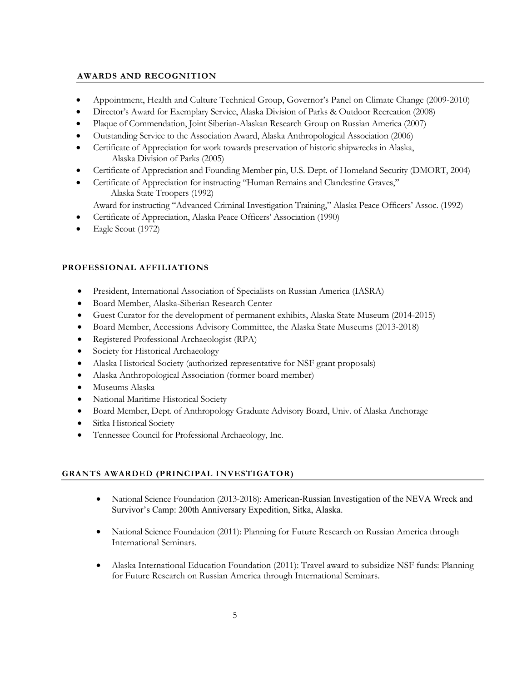## **AWARDS AND RECOGNITION**

- Appointment, Health and Culture Technical Group, Governor's Panel on Climate Change (2009-2010)
- Director's Award for Exemplary Service, Alaska Division of Parks & Outdoor Recreation (2008)
- Plaque of Commendation, Joint Siberian-Alaskan Research Group on Russian America (2007)
- Outstanding Service to the Association Award, Alaska Anthropological Association (2006)
- Certificate of Appreciation for work towards preservation of historic shipwrecks in Alaska, Alaska Division of Parks (2005)
- Certificate of Appreciation and Founding Member pin, U.S. Dept. of Homeland Security (DMORT, 2004)
- Certificate of Appreciation for instructing "Human Remains and Clandestine Graves," Alaska State Troopers (1992)
	- Award for instructing "Advanced Criminal Investigation Training," Alaska Peace Officers' Assoc. (1992)
- Certificate of Appreciation, Alaska Peace Officers' Association (1990)
- Eagle Scout (1972)

# **PROFESSIONAL AFFILIATIONS**

- President, International Association of Specialists on Russian America (IASRA)
- Board Member, Alaska-Siberian Research Center
- Guest Curator for the development of permanent exhibits, Alaska State Museum (2014-2015)
- Board Member, Accessions Advisory Committee, the Alaska State Museums (2013-2018)
- Registered Professional Archaeologist (RPA)
- Society for Historical Archaeology
- Alaska Historical Society (authorized representative for NSF grant proposals)
- Alaska Anthropological Association (former board member)
- Museums Alaska
- National Maritime Historical Society
- Board Member, Dept. of Anthropology Graduate Advisory Board, Univ. of Alaska Anchorage
- **•** Sitka Historical Society
- Tennessee Council for Professional Archaeology, Inc.

## **GRANTS AWARDED (PRINCIPAL INVESTIGATOR)**

- National Science Foundation (2013-2018): American-Russian Investigation of the NEVA Wreck and Survivor's Camp: 200th Anniversary Expedition, Sitka, Alaska.
- National Science Foundation (2011): Planning for Future Research on Russian America through International Seminars.
- Alaska International Education Foundation (2011): Travel award to subsidize NSF funds: Planning for Future Research on Russian America through International Seminars.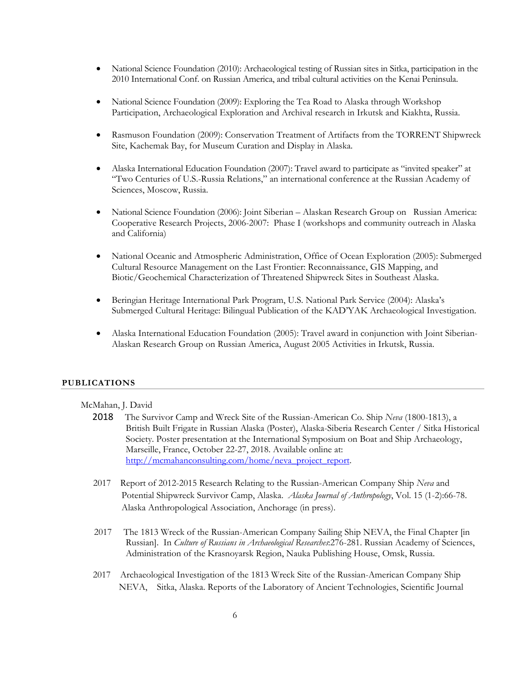- National Science Foundation (2010): Archaeological testing of Russian sites in Sitka, participation in the 2010 International Conf. on Russian America, and tribal cultural activities on the Kenai Peninsula.
- National Science Foundation (2009): Exploring the Tea Road to Alaska through Workshop Participation, Archaeological Exploration and Archival research in Irkutsk and Kiakhta, Russia.
- Rasmuson Foundation (2009): Conservation Treatment of Artifacts from the TORRENT Shipwreck Site, Kachemak Bay, for Museum Curation and Display in Alaska.
- Alaska International Education Foundation (2007): Travel award to participate as "invited speaker" at "Two Centuries of U.S.-Russia Relations," an international conference at the Russian Academy of Sciences, Moscow, Russia.
- National Science Foundation (2006): Joint Siberian Alaskan Research Group on Russian America: Cooperative Research Projects, 2006-2007: Phase I (workshops and community outreach in Alaska and California)
- National Oceanic and Atmospheric Administration, Office of Ocean Exploration (2005): Submerged Cultural Resource Management on the Last Frontier: Reconnaissance, GIS Mapping, and Biotic/Geochemical Characterization of Threatened Shipwreck Sites in Southeast Alaska.
- Beringian Heritage International Park Program, U.S. National Park Service (2004): Alaska's Submerged Cultural Heritage: Bilingual Publication of the KAD'YAK Archaeological Investigation.
- Alaska International Education Foundation (2005): Travel award in conjunction with Joint Siberian-Alaskan Research Group on Russian America, August 2005 Activities in Irkutsk, Russia.

## **PUBLICATIONS**

## McMahan, J. David

- 2018 The Survivor Camp and Wreck Site of the Russian-American Co. Ship *Neva* (1800-1813), a British Built Frigate in Russian Alaska (Poster), Alaska-Siberia Research Center / Sitka Historical Society. Poster presentation at the International Symposium on Boat and Ship Archaeology, Marseille, France, October 22-27, 2018. Available online at: http://mcmahanconsulting.com/home/neva\_project\_report.
- 2017 Report of 2012-2015 Research Relating to the Russian-American Company Ship *Neva* and Potential Shipwreck Survivor Camp, Alaska. *Alaska Journal of Anthropology*, Vol. 15 (1-2):66-78. Alaska Anthropological Association, Anchorage (in press).
- 2017 The 1813 Wreck of the Russian-American Company Sailing Ship NEVA, the Final Chapter [in Russian]. In *Culture of Russians in Archaeological Researches*:276-281. Russian Academy of Sciences, Administration of the Krasnoyarsk Region, Nauka Publishing House, Omsk, Russia.
- 2017 Archaeological Investigation of the 1813 Wreck Site of the Russian-American Company Ship NEVA, Sitka, Alaska. Reports of the Laboratory of Ancient Technologies, Scientific Journal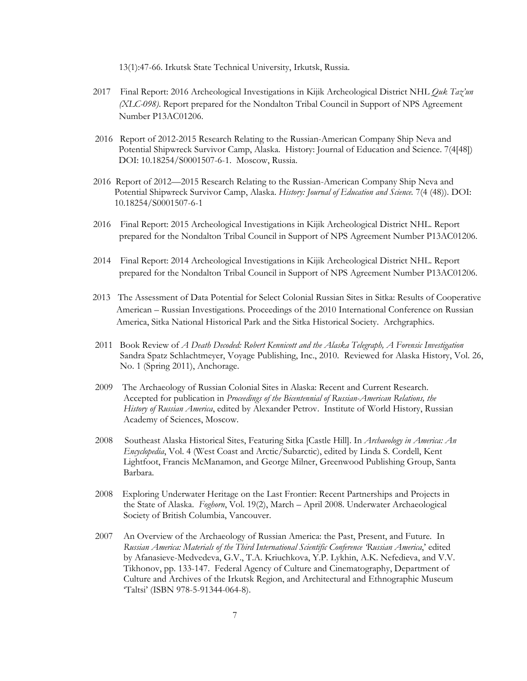13(1):47-66. Irkutsk State Technical University, Irkutsk, Russia.

- 2017 Final Report: 2016 Archeological Investigations in Kijik Archeological District NHL *Quk Taz'un (XLC-098)*. Report prepared for the Nondalton Tribal Council in Support of NPS Agreement Number P13AC01206.
- 2016 Report of 2012-2015 Research Relating to the Russian-American Company Ship Neva and Potential Shipwreck Survivor Camp, Alaska. History: Journal of Education and Science. 7(4[48]) DOI: 10.18254/S0001507-6-1. Moscow, Russia.
- 2016 Report of 2012—2015 Research Relating to the Russian-American Company Ship Neva and Potential Shipwreck Survivor Camp, Alaska. *History: Journal of Education and Science.* 7(4 (48)). DOI: 10.18254/S0001507-6-1
- 2016 Final Report: 2015 Archeological Investigations in Kijik Archeological District NHL. Report prepared for the Nondalton Tribal Council in Support of NPS Agreement Number P13AC01206.
- 2014 Final Report: 2014 Archeological Investigations in Kijik Archeological District NHL. Report prepared for the Nondalton Tribal Council in Support of NPS Agreement Number P13AC01206.
- 2013 The Assessment of Data Potential for Select Colonial Russian Sites in Sitka: Results of Cooperative American – Russian Investigations. Proceedings of the 2010 International Conference on Russian America, Sitka National Historical Park and the Sitka Historical Society. Archgraphics.
- 2011 Book Review of *A Death Decoded: Robert Kennicott and the Alaska Telegraph, A Forensic Investigation* Sandra Spatz Schlachtmeyer, Voyage Publishing, Inc., 2010. Reviewed for Alaska History, Vol. 26, No. 1 (Spring 2011), Anchorage.
- 2009 The Archaeology of Russian Colonial Sites in Alaska: Recent and Current Research. Accepted for publication in *Proceedings of the Bicentennial of Russian-American Relations, the History of Russian America*, edited by Alexander Petrov. Institute of World History, Russian Academy of Sciences, Moscow.
- 2008 Southeast Alaska Historical Sites, Featuring Sitka [Castle Hill]. In *Archaeology in America: An Encyclopedia*, Vol. 4 (West Coast and Arctic/Subarctic), edited by Linda S. Cordell, Kent Lightfoot, Francis McManamon, and George Milner, Greenwood Publishing Group, Santa Barbara.
- 2008 Exploring Underwater Heritage on the Last Frontier: Recent Partnerships and Projects in the State of Alaska. *Foghorn*, Vol. 19(2), March – April 2008. Underwater Archaeological Society of British Columbia, Vancouver.
- 2007 An Overview of the Archaeology of Russian America: the Past, Present, and Future. In *Russian America: Materials of the Third International Scientific Conference 'Russian America*,' edited by Afanasieve-Medvedeva, G.V., T.A. Kriuchkova, Y.P. Lykhin, A.K. Nefedieva, and V.V. Tikhonov, pp. 133-147. Federal Agency of Culture and Cinematography, Department of Culture and Archives of the Irkutsk Region, and Architectural and Ethnographic Museum 'Taltsi' (ISBN 978-5-91344-064-8).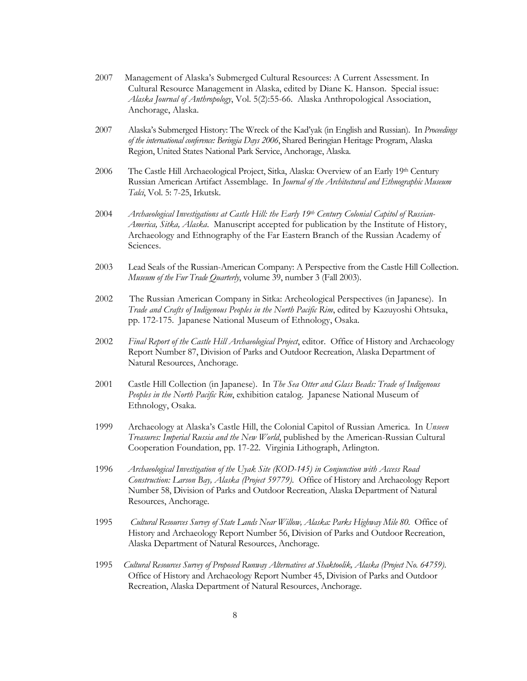- 2007Management of Alaska's Submerged Cultural Resources: A Current Assessment. In Cultural Resource Management in Alaska, edited by Diane K. Hanson. Special issue: *Alaska Journal of Anthropology*, Vol. 5(2):55-66. Alaska Anthropological Association, Anchorage, Alaska.
- 2007 Alaska's Submerged History: The Wreck of the Kad'yak (in English and Russian). In *Proceedings of the international conference: Beringia Days 2006*, Shared Beringian Heritage Program, Alaska Region, United States National Park Service, Anchorage, Alaska.
- 2006 The Castle Hill Archaeological Project, Sitka, Alaska: Overview of an Early 19th Century Russian American Artifact Assemblage. In *Journal of the Architectural and Ethnographic Museum Talci*, Vol. 5: 7-25, Irkutsk.
- 2004 *Archaeological Investigations at Castle Hill: the Early 19th Century Colonial Capitol of Russian-America, Sitka, Alaska*. Manuscript accepted for publication by the Institute of History, Archaeology and Ethnography of the Far Eastern Branch of the Russian Academy of Sciences.
- 2003 Lead Seals of the Russian-American Company: A Perspective from the Castle Hill Collection. *Museum of the Fur Trade Quarterly*, volume 39, number 3 (Fall 2003).
- 2002 The Russian American Company in Sitka: Archeological Perspectives (in Japanese). In *Trade and Crafts of Indigenous Peoples in the North Pacific Rim*, edited by Kazuyoshi Ohtsuka, pp. 172-175. Japanese National Museum of Ethnology, Osaka.
- 2002 *Final Report of the Castle Hill Archaeological Project*, editor. Office of History and Archaeology Report Number 87, Division of Parks and Outdoor Recreation, Alaska Department of Natural Resources, Anchorage.
- 2001 Castle Hill Collection (in Japanese). In *The Sea Otter and Glass Beads: Trade of Indigenous Peoples in the North Pacific Rim*, exhibition catalog. Japanese National Museum of Ethnology, Osaka.
- 1999 Archaeology at Alaska's Castle Hill, the Colonial Capitol of Russian America. In *Unseen Treasures: Imperial Russia and the New World*, published by the American-Russian Cultural Cooperation Foundation, pp. 17-22. Virginia Lithograph, Arlington.
- 1996 *Archaeological Investigation of the Uyak Site (KOD-145) in Conjunction with Access Road Construction: Larson Bay, Alaska (Project 59779).* Office of History and Archaeology Report Number 58, Division of Parks and Outdoor Recreation, Alaska Department of Natural Resources, Anchorage.
- 1995 *Cultural Resources Survey of State Lands Near Willow, Alaska: Parks Highway Mile 80.* Office of History and Archaeology Report Number 56, Division of Parks and Outdoor Recreation, Alaska Department of Natural Resources, Anchorage.
- 1995 *Cultural Resources Survey of Proposed Runway Alternatives at Shaktoolik, Alaska (Project No. 64759)*. Office of History and Archaeology Report Number 45, Division of Parks and Outdoor Recreation, Alaska Department of Natural Resources, Anchorage.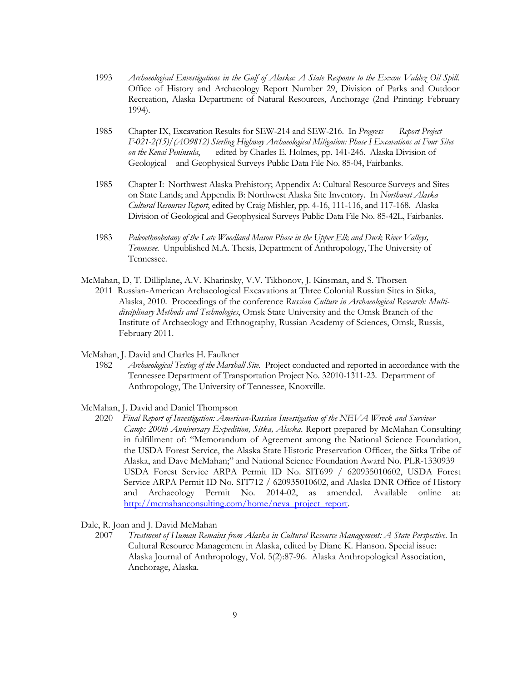- 1993 *Archaeological Envestigations in the Gulf of Alaska: A State Response to the Exxon Valdez Oil Spill.*  Office of History and Archaeology Report Number 29, Division of Parks and Outdoor Recreation, Alaska Department of Natural Resources, Anchorage (2nd Printing: February 1994).
- 1985 Chapter IX, Excavation Results for SEW-214 and SEW-216. In *Progress Report Project F-021-2(15)/(AO9812) Sterling Highway Archaeological Mitigation: Phase I Excavations at Four Sites on the Kenai Peninsula*, edited by Charles E. Holmes, pp. 141-246. Alaska Division of Geological and Geophysical Surveys Public Data File No. 85-04, Fairbanks.
- 1985 Chapter I: Northwest Alaska Prehistory; Appendix A: Cultural Resource Surveys and Sites on State Lands; and Appendix B: Northwest Alaska Site Inventory. In *Northwest Alaska Cultural Resources Report*, edited by Craig Mishler, pp. 4-16, 111-116, and 117-168. Alaska Division of Geological and Geophysical Surveys Public Data File No. 85-42L, Fairbanks.
- 1983 *Paleoethnobotany of the Late Woodland Mason Phase in the Upper Elk and Duck River Valleys, Tennessee*. Unpublished M.A. Thesis, Department of Anthropology, The University of Tennessee.
- McMahan, D, T. Dilliplane, A.V. Kharinsky, V.V. Tikhonov, J. Kinsman, and S. Thorsen 2011 Russian-American Archaeological Excavations at Three Colonial Russian Sites in Sitka, Alaska, 2010. Proceedings of the conference *Russian Culture in Archaeological Research: Multidisciplinary Methods and Technologies*, Omsk State University and the Omsk Branch of the Institute of Archaeology and Ethnography, Russian Academy of Sciences, Omsk, Russia, February 2011.
- McMahan, J. David and Charles H. Faulkner
	- 1982 *Archaeological Testing of the Marshall Site*. Project conducted and reported in accordance with the Tennessee Department of Transportation Project No. 32010-1311-23. Department of Anthropology, The University of Tennessee, Knoxville.
- McMahan, J. David and Daniel Thompson
	- 2020 *Final Report of Investigation: American-Russian Investigation of the NEVA Wreck and Survivor Camp: 200th Anniversary Expedition, Sitka, Alaska*. Report prepared by McMahan Consulting in fulfillment of: "Memorandum of Agreement among the National Science Foundation, the USDA Forest Service, the Alaska State Historic Preservation Officer, the Sitka Tribe of Alaska, and Dave McMahan;" and National Science Foundation Award No. PLR-1330939 USDA Forest Service ARPA Permit ID No. SIT699 / 620935010602, USDA Forest Service ARPA Permit ID No. SIT712 / 620935010602, and Alaska DNR Office of History and Archaeology Permit No. 2014-02, as amended. Available online at: http://mcmahanconsulting.com/home/neva\_project\_report.
- Dale, R. Joan and J. David McMahan
	- 2007 *Treatment of Human Remains from Alaska in Cultural Resource Management: A State Perspective*. In Cultural Resource Management in Alaska, edited by Diane K. Hanson. Special issue: Alaska Journal of Anthropology, Vol. 5(2):87-96. Alaska Anthropological Association, Anchorage, Alaska.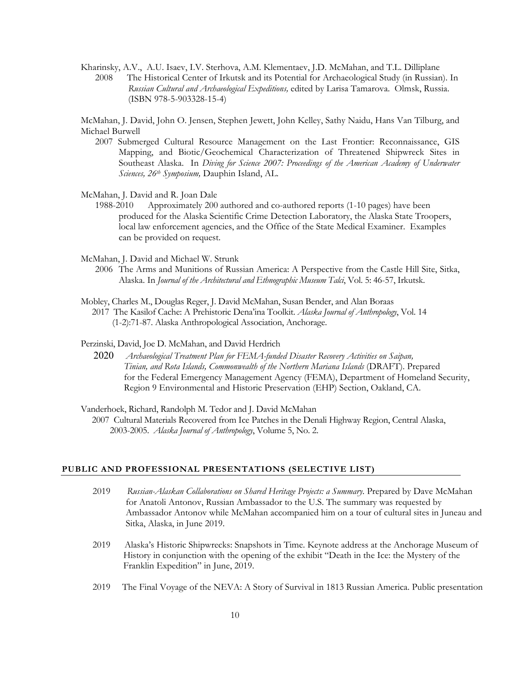Kharinsky, A.V., A.U. Isaev, I.V. Sterhova, A.M. Klementaev, J.D. McMahan, and T.L. Dilliplane 2008 The Historical Center of Irkutsk and its Potential for Archaeological Study (in Russian). In *Russian Cultural and Archaeological Expeditions,* edited by Larisa Tamarova. Olmsk, Russia. (ISBN 978-5-903328-15-4)

McMahan, J. David, John O. Jensen, Stephen Jewett, John Kelley, Sathy Naidu, Hans Van Tilburg, and Michael Burwell

- 2007 Submerged Cultural Resource Management on the Last Frontier: Reconnaissance, GIS Mapping, and Biotic/Geochemical Characterization of Threatened Shipwreck Sites in Southeast Alaska. In *Diving for Science 2007: Proceedings of the American Academy of Underwater Sciences, 26th Symposium,* Dauphin Island, AL.
- McMahan, J. David and R. Joan Dale
	- 1988-2010 Approximately 200 authored and co-authored reports (1-10 pages) have been produced for the Alaska Scientific Crime Detection Laboratory, the Alaska State Troopers, local law enforcement agencies, and the Office of the State Medical Examiner. Examples can be provided on request.
- McMahan, J. David and Michael W. Strunk
	- 2006 The Arms and Munitions of Russian America: A Perspective from the Castle Hill Site, Sitka, Alaska. In *Journal of the Architectural and Ethnographic Museum Talci*, Vol. 5: 46-57, Irkutsk.
- Mobley, Charles M., Douglas Reger, J. David McMahan, Susan Bender, and Alan Boraas 2017 The Kasilof Cache: A Prehistoric Dena'ina Toolkit. *Alaska Journal of Anthropology*, Vol. 14 (1-2):71-87. Alaska Anthropological Association, Anchorage.

#### Perzinski, David, Joe D. McMahan, and David Herdrich

- 2020 *Archaeological Treatment Plan for FEMA-funded Disaster Recovery Activities on Saipan, Tinian, and Rota Islands, Commonwealth of the Northern Mariana Islands* (DRAFT). Prepared for the Federal Emergency Management Agency (FEMA), Department of Homeland Security, Region 9 Environmental and Historic Preservation (EHP) Section, Oakland, CA.
- Vanderhoek, Richard, Randolph M. Tedor and J. David McMahan 2007 Cultural Materials Recovered from Ice Patches in the Denali Highway Region, Central Alaska, 2003-2005. *Alaska Journal of Anthropology*, Volume 5, No. 2.

### **PUBLIC AND PROFESSIONAL PRESENTATIONS (SELECTIVE LIST)**

- 2019 *Russian-Alaskan Collaborations on Shared Heritage Projects: a Summary*. Prepared by Dave McMahan for Anatoli Antonov, Russian Ambassador to the U.S. The summary was requested by Ambassador Antonov while McMahan accompanied him on a tour of cultural sites in Juneau and Sitka, Alaska, in June 2019.
- 2019 Alaska's Historic Shipwrecks: Snapshots in Time. Keynote address at the Anchorage Museum of History in conjunction with the opening of the exhibit "Death in the Ice: the Mystery of the Franklin Expedition" in June, 2019.
- 2019 The Final Voyage of the NEVA: A Story of Survival in 1813 Russian America. Public presentation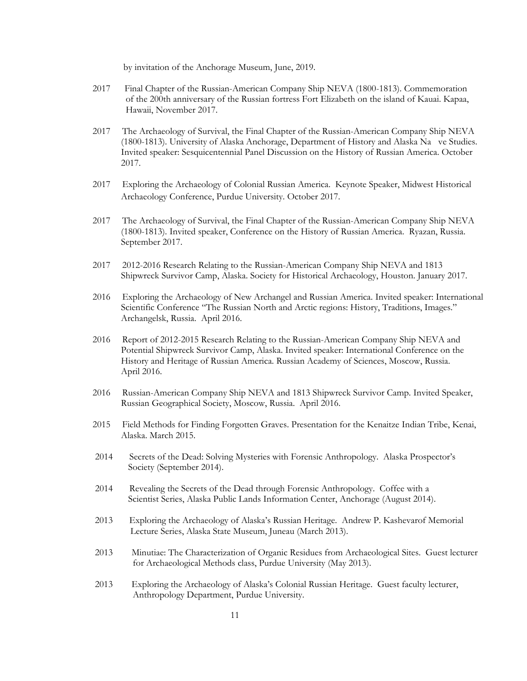by invitation of the Anchorage Museum, June, 2019.

- 2017 Final Chapter of the Russian-American Company Ship NEVA (1800-1813). Commemoration of the 200th anniversary of the Russian fortress Fort Elizabeth on the island of Kauai. Kapaa, Hawaii, November 2017.
- 2017 The Archaeology of Survival, the Final Chapter of the Russian-American Company Ship NEVA (1800-1813). University of Alaska Anchorage, Department of History and Alaska Na ve Studies. Invited speaker: Sesquicentennial Panel Discussion on the History of Russian America. October 2017.
- 2017 Exploring the Archaeology of Colonial Russian America. Keynote Speaker, Midwest Historical Archaeology Conference, Purdue University. October 2017.
- 2017 The Archaeology of Survival, the Final Chapter of the Russian-American Company Ship NEVA (1800-1813). Invited speaker, Conference on the History of Russian America. Ryazan, Russia. September 2017.
- 2017 2012-2016 Research Relating to the Russian-American Company Ship NEVA and 1813 Shipwreck Survivor Camp, Alaska. Society for Historical Archaeology, Houston. January 2017.
- 2016 Exploring the Archaeology of New Archangel and Russian America. Invited speaker: International Scientific Conference "The Russian North and Arctic regions: History, Traditions, Images." Archangelsk, Russia. April 2016.
- 2016 Report of 2012-2015 Research Relating to the Russian-American Company Ship NEVA and Potential Shipwreck Survivor Camp, Alaska. Invited speaker: International Conference on the History and Heritage of Russian America. Russian Academy of Sciences, Moscow, Russia. April 2016.
- 2016 Russian-American Company Ship NEVA and 1813 Shipwreck Survivor Camp. Invited Speaker, Russian Geographical Society, Moscow, Russia. April 2016.
- 2015 Field Methods for Finding Forgotten Graves. Presentation for the Kenaitze Indian Tribe, Kenai, Alaska. March 2015.
- 2014 Secrets of the Dead: Solving Mysteries with Forensic Anthropology. Alaska Prospector's Society (September 2014).
- 2014 Revealing the Secrets of the Dead through Forensic Anthropology. Coffee with a Scientist Series, Alaska Public Lands Information Center, Anchorage (August 2014).
- 2013 Exploring the Archaeology of Alaska's Russian Heritage. Andrew P. Kashevarof Memorial Lecture Series, Alaska State Museum, Juneau (March 2013).
- 2013 Minutiae: The Characterization of Organic Residues from Archaeological Sites. Guest lecturer for Archaeological Methods class, Purdue University (May 2013).
- 2013 Exploring the Archaeology of Alaska's Colonial Russian Heritage. Guest faculty lecturer, Anthropology Department, Purdue University.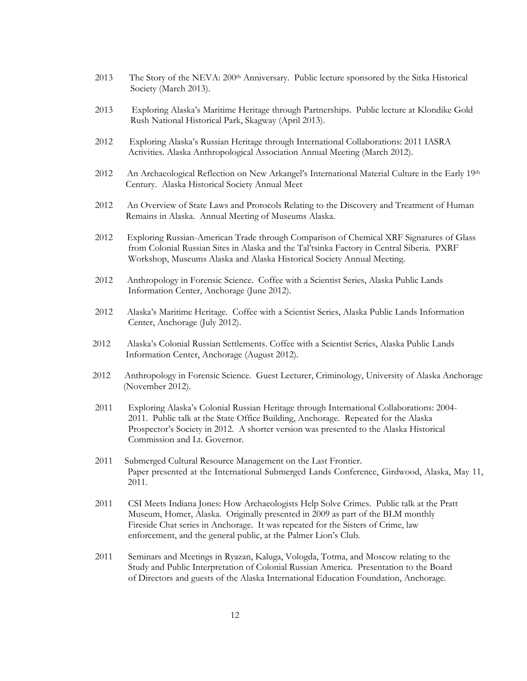- 2013 The Story of the NEVA: 200<sup>th</sup> Anniversary. Public lecture sponsored by the Sitka Historical Society (March 2013).
- 2013 Exploring Alaska's Maritime Heritage through Partnerships. Public lecture at Klondike Gold Rush National Historical Park, Skagway (April 2013).
- 2012 Exploring Alaska's Russian Heritage through International Collaborations: 2011 IASRA Activities. Alaska Anthropological Association Annual Meeting (March 2012).
- 2012 An Archaeological Reflection on New Arkangel's International Material Culture in the Early 19th Century. Alaska Historical Society Annual Meet
- 2012 An Overview of State Laws and Protocols Relating to the Discovery and Treatment of Human Remains in Alaska. Annual Meeting of Museums Alaska.
- 2012 Exploring Russian-American Trade through Comparison of Chemical XRF Signatures of Glass from Colonial Russian Sites in Alaska and the Tal'tsinka Factory in Central Siberia. PXRF Workshop, Museums Alaska and Alaska Historical Society Annual Meeting.
- 2012 Anthropology in Forensic Science. Coffee with a Scientist Series, Alaska Public Lands Information Center, Anchorage (June 2012).
- 2012 Alaska's Maritime Heritage. Coffee with a Scientist Series, Alaska Public Lands Information Center, Anchorage (July 2012).
- 2012 Alaska's Colonial Russian Settlements. Coffee with a Scientist Series, Alaska Public Lands Information Center, Anchorage (August 2012).
- 2012 Anthropology in Forensic Science. Guest Lecturer, Criminology, University of Alaska Anchorage (November 2012).
- 2011 Exploring Alaska's Colonial Russian Heritage through International Collaborations: 2004- 2011. Public talk at the State Office Building, Anchorage. Repeated for the Alaska Prospector's Society in 2012. A shorter version was presented to the Alaska Historical Commission and Lt. Governor.
- 2011 Submerged Cultural Resource Management on the Last Frontier. Paper presented at the International Submerged Lands Conference, Girdwood, Alaska, May 11, 2011.
- 2011 CSI Meets Indiana Jones: How Archaeologists Help Solve Crimes. Public talk at the Pratt Museum, Homer, Alaska. Originally presented in 2009 as part of the BLM monthly Fireside Chat series in Anchorage. It was repeated for the Sisters of Crime, law enforcement, and the general public, at the Palmer Lion's Club.
- 2011 Seminars and Meetings in Ryazan, Kaluga, Vologda, Totma, and Moscow relating to the Study and Public Interpretation of Colonial Russian America. Presentation to the Board of Directors and guests of the Alaska International Education Foundation, Anchorage.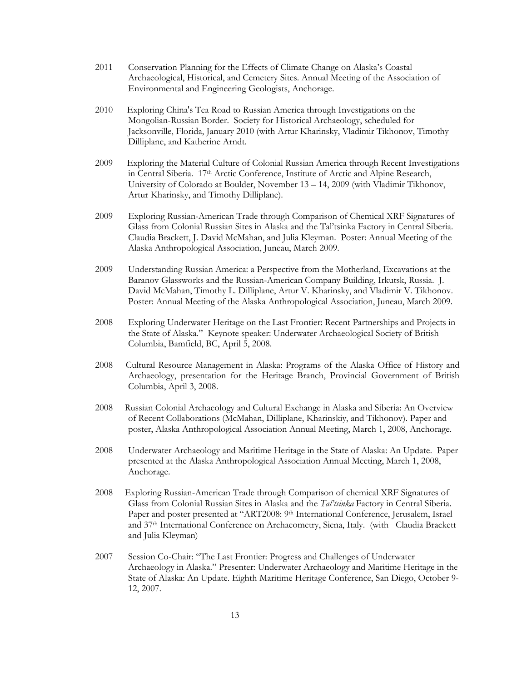- 2011 Conservation Planning for the Effects of Climate Change on Alaska's Coastal Archaeological, Historical, and Cemetery Sites. Annual Meeting of the Association of Environmental and Engineering Geologists, Anchorage.
- 2010 Exploring China's Tea Road to Russian America through Investigations on the Mongolian-Russian Border. Society for Historical Archaeology, scheduled for Jacksonville, Florida, January 2010 (with Artur Kharinsky, Vladimir Tikhonov, Timothy Dilliplane, and Katherine Arndt.
- 2009 Exploring the Material Culture of Colonial Russian America through Recent Investigations in Central Siberia. 17th Arctic Conference, Institute of Arctic and Alpine Research, University of Colorado at Boulder, November 13 – 14, 2009 (with Vladimir Tikhonov, Artur Kharinsky, and Timothy Dilliplane).
- 2009 Exploring Russian-American Trade through Comparison of Chemical XRF Signatures of Glass from Colonial Russian Sites in Alaska and the Tal'tsinka Factory in Central Siberia. Claudia Brackett, J. David McMahan, and Julia Kleyman. Poster: Annual Meeting of the Alaska Anthropological Association, Juneau, March 2009.
- 2009 Understanding Russian America: a Perspective from the Motherland, Excavations at the Baranov Glassworks and the Russian-American Company Building, Irkutsk, Russia. J. David McMahan, Timothy L. Dilliplane, Artur V. Kharinsky, and Vladimir V. Tikhonov. Poster: Annual Meeting of the Alaska Anthropological Association, Juneau, March 2009.
- 2008 Exploring Underwater Heritage on the Last Frontier: Recent Partnerships and Projects in the State of Alaska." Keynote speaker: Underwater Archaeological Society of British Columbia, Bamfield, BC, April 5, 2008.
- 2008 Cultural Resource Management in Alaska: Programs of the Alaska Office of History and Archaeology, presentation for the Heritage Branch, Provincial Government of British Columbia, April 3, 2008.
- 2008 Russian Colonial Archaeology and Cultural Exchange in Alaska and Siberia: An Overview of Recent Collaborations (McMahan, Dilliplane, Kharinskiy, and Tikhonov). Paper and poster, Alaska Anthropological Association Annual Meeting, March 1, 2008, Anchorage.
- 2008 Underwater Archaeology and Maritime Heritage in the State of Alaska: An Update. Paper presented at the Alaska Anthropological Association Annual Meeting, March 1, 2008, Anchorage.
- 2008 Exploring Russian-American Trade through Comparison of chemical XRF Signatures of Glass from Colonial Russian Sites in Alaska and the *Tal'tsinka* Factory in Central Siberia. Paper and poster presented at "ART2008: 9th International Conference, Jerusalem, Israel and 37th International Conference on Archaeometry, Siena, Italy. (with Claudia Brackett and Julia Kleyman)
- 2007 Session Co-Chair: "The Last Frontier: Progress and Challenges of Underwater Archaeology in Alaska." Presenter: Underwater Archaeology and Maritime Heritage in the State of Alaska: An Update. Eighth Maritime Heritage Conference, San Diego, October 9- 12, 2007.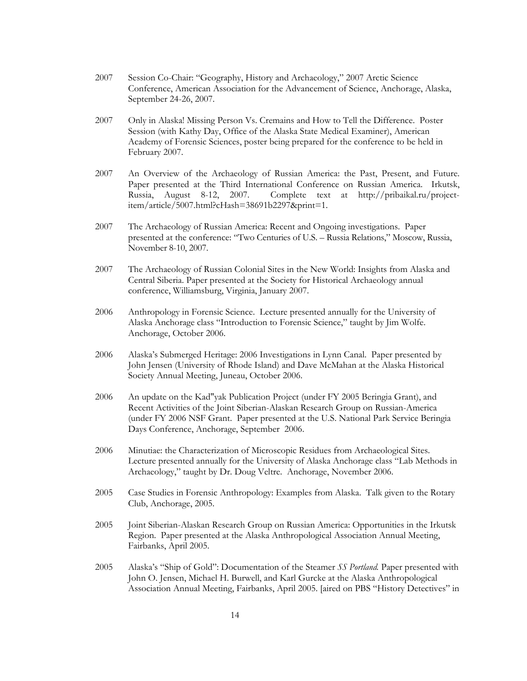- 2007 Session Co-Chair: "Geography, History and Archaeology," 2007 Arctic Science Conference, American Association for the Advancement of Science, Anchorage, Alaska, September 24-26, 2007.
- 2007 Only in Alaska! Missing Person Vs. Cremains and How to Tell the Difference. Poster Session (with Kathy Day, Office of the Alaska State Medical Examiner), American Academy of Forensic Sciences, poster being prepared for the conference to be held in February 2007.
- 2007 An Overview of the Archaeology of Russian America: the Past, Present, and Future. Paper presented at the Third International Conference on Russian America. Irkutsk, Russia, August 8-12, 2007. Complete text at http://pribaikal.ru/projectitem/article/5007.html?cHash=38691b2297&print=1.
- 2007 The Archaeology of Russian America: Recent and Ongoing investigations. Paper presented at the conference: "Two Centuries of U.S. – Russia Relations," Moscow, Russia, November 8-10, 2007.
- 2007 The Archaeology of Russian Colonial Sites in the New World: Insights from Alaska and Central Siberia. Paper presented at the Society for Historical Archaeology annual conference, Williamsburg, Virginia, January 2007.
- 2006 Anthropology in Forensic Science. Lecture presented annually for the University of Alaska Anchorage class "Introduction to Forensic Science," taught by Jim Wolfe. Anchorage, October 2006.
- 2006 Alaska's Submerged Heritage: 2006 Investigations in Lynn Canal. Paper presented by John Jensen (University of Rhode Island) and Dave McMahan at the Alaska Historical Society Annual Meeting, Juneau, October 2006.
- 2006 An update on the Kad"yak Publication Project (under FY 2005 Beringia Grant), and Recent Activities of the Joint Siberian-Alaskan Research Group on Russian-America (under FY 2006 NSF Grant. Paper presented at the U.S. National Park Service Beringia Days Conference, Anchorage, September 2006.
- 2006 Minutiae: the Characterization of Microscopic Residues from Archaeological Sites. Lecture presented annually for the University of Alaska Anchorage class "Lab Methods in Archaeology," taught by Dr. Doug Veltre. Anchorage, November 2006.
- 2005 Case Studies in Forensic Anthropology: Examples from Alaska. Talk given to the Rotary Club, Anchorage, 2005.
- 2005 Joint Siberian-Alaskan Research Group on Russian America: Opportunities in the Irkutsk Region. Paper presented at the Alaska Anthropological Association Annual Meeting, Fairbanks, April 2005.
- 2005 Alaska's "Ship of Gold": Documentation of the Steamer *SS Portland.* Paper presented with John O. Jensen, Michael H. Burwell, and Karl Gurcke at the Alaska Anthropological Association Annual Meeting, Fairbanks, April 2005. [aired on PBS "History Detectives" in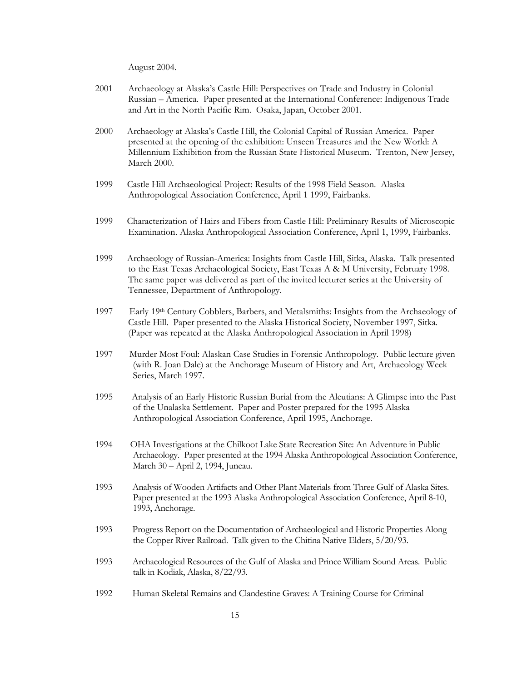August 2004.

- 2001 Archaeology at Alaska's Castle Hill: Perspectives on Trade and Industry in Colonial Russian – America. Paper presented at the International Conference: Indigenous Trade and Art in the North Pacific Rim. Osaka, Japan, October 2001.
- 2000 Archaeology at Alaska's Castle Hill, the Colonial Capital of Russian America. Paper presented at the opening of the exhibition: Unseen Treasures and the New World: A Millennium Exhibition from the Russian State Historical Museum. Trenton, New Jersey, March 2000.
- 1999 Castle Hill Archaeological Project: Results of the 1998 Field Season. Alaska Anthropological Association Conference, April 1 1999, Fairbanks.
- 1999 Characterization of Hairs and Fibers from Castle Hill: Preliminary Results of Microscopic Examination. Alaska Anthropological Association Conference, April 1, 1999, Fairbanks.
- 1999 Archaeology of Russian-America: Insights from Castle Hill, Sitka, Alaska. Talk presented to the East Texas Archaeological Society, East Texas A & M University, February 1998. The same paper was delivered as part of the invited lecturer series at the University of Tennessee, Department of Anthropology.
- 1997 Early 19th Century Cobblers, Barbers, and Metalsmiths: Insights from the Archaeology of Castle Hill. Paper presented to the Alaska Historical Society, November 1997, Sitka. (Paper was repeated at the Alaska Anthropological Association in April 1998)
- 1997 Murder Most Foul: Alaskan Case Studies in Forensic Anthropology. Public lecture given (with R. Joan Dale) at the Anchorage Museum of History and Art, Archaeology Week Series, March 1997.
- 1995 Analysis of an Early Historic Russian Burial from the Aleutians: A Glimpse into the Past of the Unalaska Settlement. Paper and Poster prepared for the 1995 Alaska Anthropological Association Conference, April 1995, Anchorage.
- 1994 OHA Investigations at the Chilkoot Lake State Recreation Site: An Adventure in Public Archaeology. Paper presented at the 1994 Alaska Anthropological Association Conference, March 30 – April 2, 1994, Juneau.
- 1993 Analysis of Wooden Artifacts and Other Plant Materials from Three Gulf of Alaska Sites. Paper presented at the 1993 Alaska Anthropological Association Conference, April 8-10, 1993, Anchorage.
- 1993 Progress Report on the Documentation of Archaeological and Historic Properties Along the Copper River Railroad. Talk given to the Chitina Native Elders, 5/20/93.
- 1993 Archaeological Resources of the Gulf of Alaska and Prince William Sound Areas. Public talk in Kodiak, Alaska, 8/22/93.
- 1992 Human Skeletal Remains and Clandestine Graves: A Training Course for Criminal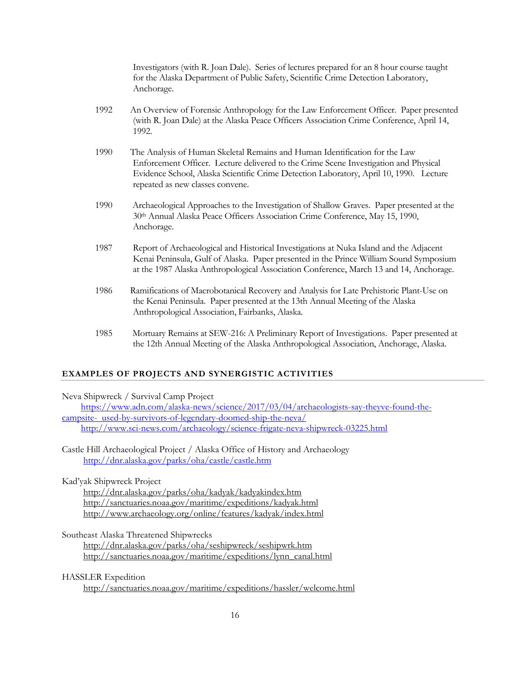Investigators (with R. Joan Dale). Series of lectures prepared for an 8 hour course taught for the Alaska Department of Public Safety, Scientific Crime Detection Laboratory, Anchorage.

- 1992 An Overview of Forensic Anthropology for the Law Enforcement Officer. Paper presented (with R. Joan Dale) at the Alaska Peace Officers Association Crime Conference, April 14, 1992.
- 1990 The Analysis of Human Skeletal Remains and Human Identification for the Law Enforcement Officer. Lecture delivered to the Crime Scene Investigation and Physical Evidence School, Alaska Scientific Crime Detection Laboratory, April 10, 1990. Lecture repeated as new classes convene.
- 1990 Archaeological Approaches to the Investigation of Shallow Graves. Paper presented at the 30th Annual Alaska Peace Officers Association Crime Conference, May 15, 1990, Anchorage.
- 1987 Report of Archaeological and Historical Investigations at Nuka Island and the Adjacent Kenai Peninsula, Gulf of Alaska. Paper presented in the Prince William Sound Symposium at the 1987 Alaska Anthropological Association Conference, March 13 and 14, Anchorage.
- 1986 Ramifications of Macrobotanical Recovery and Analysis for Late Prehistoric Plant-Use on the Kenai Peninsula. Paper presented at the 13th Annual Meeting of the Alaska Anthropological Association, Fairbanks, Alaska.
- 1985 Mortuary Remains at SEW-216: A Preliminary Report of Investigations. Paper presented at the 12th Annual Meeting of the Alaska Anthropological Association, Anchorage, Alaska.

## **EXAMPLES OF PROJECTS AND SYNERGISTIC ACTIVITIES**

Neva Shipwreck / Survival Camp Project https://www.adn.com/alaska-news/science/2017/03/04/archaeologists-say-theyve-found-thecampsite- used-by-survivors-of-legendary-doomed-ship-the-neva/ http://www.sci-news.com/archaeology/science-frigate-neva-shipwreck-03225.html

Castle Hill Archaeological Project / Alaska Office of History and Archaeology http://dnr.alaska.gov/parks/oha/castle/castle.htm

Kad'yak Shipwreck Project

 http://dnr.alaska.gov/parks/oha/kadyak/kadyakindex.htm http://sanctuaries.noaa.gov/maritime/expeditions/kadyak.html http://www.archaeology.org/online/features/kadyak/index.html

Southeast Alaska Threatened Shipwrecks

 http://dnr.alaska.gov/parks/oha/seshipwreck/seshipwrk.htm http://sanctuaries.noaa.gov/maritime/expeditions/lynn\_canal.html

HASSLER Expedition

http://sanctuaries.noaa.gov/maritime/expeditions/hassler/welcome.html